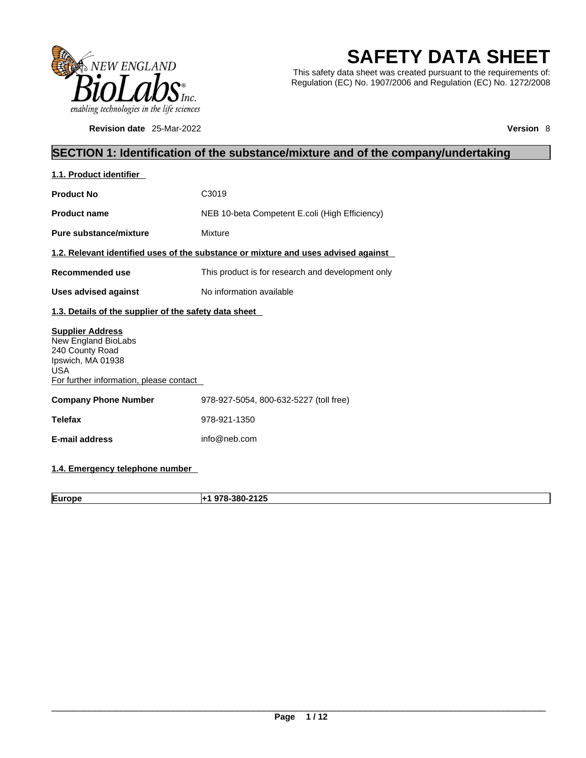

**Revision date** 25-Mar-2022 **Version** 8

# **SAFETY DATA SHEET**

This safety data sheet was created pursuant to the requirements of: Regulation (EC) No. 1907/2006 and Regulation (EC) No. 1272/2008

## **SECTION 1: Identification of the substance/mixture and of the company/undertaking**

| 1.1. Product identifier                                                                                                                         |                                                                                    |
|-------------------------------------------------------------------------------------------------------------------------------------------------|------------------------------------------------------------------------------------|
| <b>Product No</b>                                                                                                                               | C <sub>3019</sub>                                                                  |
| <b>Product name</b>                                                                                                                             | NEB 10-beta Competent E.coli (High Efficiency)                                     |
| Pure substance/mixture                                                                                                                          | Mixture                                                                            |
|                                                                                                                                                 | 1.2. Relevant identified uses of the substance or mixture and uses advised against |
| Recommended use                                                                                                                                 | This product is for research and development only                                  |
| <b>Uses advised against</b>                                                                                                                     | No information available                                                           |
| 1.3. Details of the supplier of the safety data sheet                                                                                           |                                                                                    |
| <b>Supplier Address</b><br>New England BioLabs<br>240 County Road<br>Ipswich, MA 01938<br><b>USA</b><br>For further information, please contact |                                                                                    |
| <b>Company Phone Number</b>                                                                                                                     | 978-927-5054, 800-632-5227 (toll free)                                             |
| <b>Telefax</b>                                                                                                                                  | 978-921-1350                                                                       |
| E-mail address                                                                                                                                  | info@neb.com                                                                       |
|                                                                                                                                                 |                                                                                    |

## **1.4. Emergency telephone number**

**Europe +1 978-380-2125**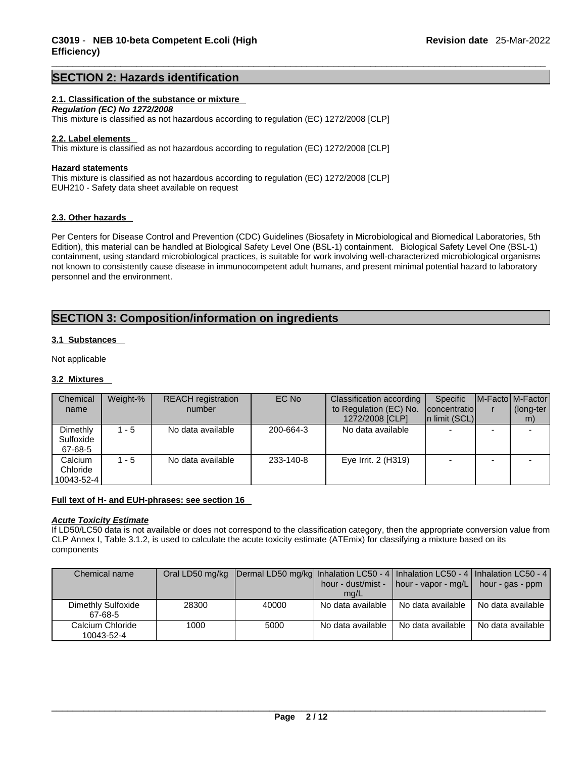### **SECTION 2: Hazards identification**

### **2.1. Classification of the substance or mixture**

*Regulation (EC) No 1272/2008*  This mixture is classified as not hazardous according to regulation (EC) 1272/2008 [CLP]

### **2.2. Label elements**

This mixture is classified as not hazardous according to regulation (EC) 1272/2008 [CLP]

### **Hazard statements**

This mixture is classified as not hazardous according to regulation (EC) 1272/2008 [CLP] EUH210 - Safety data sheet available on request

### **2.3. Other hazards**

Per Centers for Disease Control and Prevention (CDC) Guidelines (Biosafety in Microbiological and Biomedical Laboratories, 5th Edition), this material can be handled at Biological Safety Level One (BSL-1) containment. Biological Safety Level One (BSL-1) containment, using standard microbiological practices, is suitable for work involving well-characterized microbiological organisms not known to consistently cause disease in immunocompetent adult humans, and present minimal potential hazard to laboratory personnel and the environment.

## **SECTION 3: Composition/information on ingredients**

### **3.1 Substances**

Not applicable

### **3.2 Mixtures**

| Chemical                          | Weight-% | <b>REACH</b> registration | EC No     | Classification according                  | Specific                       | M-Facto M-Factor |
|-----------------------------------|----------|---------------------------|-----------|-------------------------------------------|--------------------------------|------------------|
| name                              |          | number                    |           | to Regulation (EC) No.<br>1272/2008 [CLP] | concentratio<br>In limit (SCL) | (long-ter<br>m)  |
| Dimethly<br>Sulfoxide<br>67-68-5  | 1 - 5    | No data available         | 200-664-3 | No data available                         |                                |                  |
| Calcium<br>Chloride<br>10043-52-4 | 1 - 5    | No data available         | 233-140-8 | Eye Irrit. 2 (H319)                       |                                |                  |

### **Full text of H- and EUH-phrases: see section 16**

### *Acute Toxicity Estimate*

If LD50/LC50 data is not available or does not correspond to the classification category, then the appropriate conversion value from CLP Annex I, Table 3.1.2, is used to calculate the acute toxicity estimate (ATEmix) for classifying a mixture based on its components

| Chemical name      |       | Oral LD50 mg/kg Dermal LD50 mg/kg Inhalation LC50 - 4   Inhalation LC50 - 4   Inhalation LC50 - 4 |                   |                                                                         |                   |
|--------------------|-------|---------------------------------------------------------------------------------------------------|-------------------|-------------------------------------------------------------------------|-------------------|
|                    |       |                                                                                                   |                   | hour - dust/mist - $\vert$ hour - vapor - mg/L $\vert$ hour - gas - ppm |                   |
|                    |       |                                                                                                   | mq/L              |                                                                         |                   |
| Dimethly Sulfoxide | 28300 | 40000                                                                                             | No data available | No data available                                                       | No data available |
| 67-68-5            |       |                                                                                                   |                   |                                                                         |                   |
| Calcium Chloride   | 1000  | 5000                                                                                              | No data available | No data available                                                       | No data available |
| 10043-52-4         |       |                                                                                                   |                   |                                                                         |                   |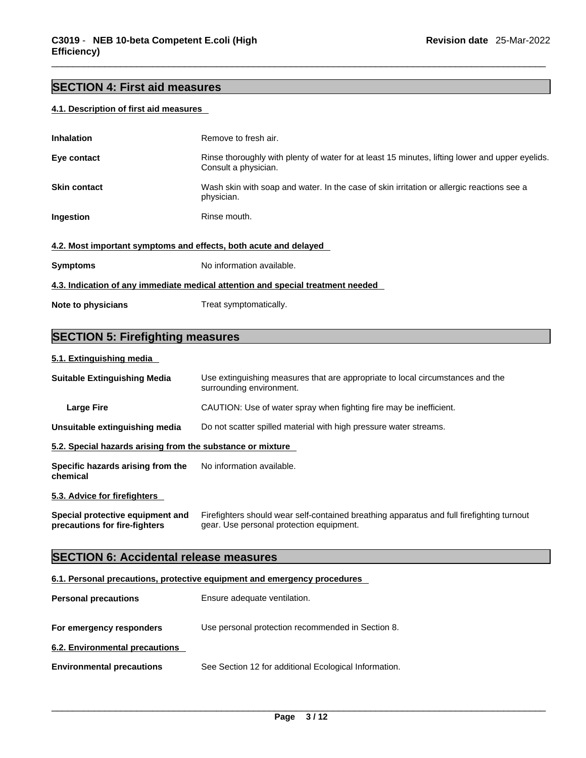## **SECTION 4: First aid measures**

### **4.1. Description of first aid measures**

| <b>Inhalation</b>                                                | Remove to fresh air.                                                                                                    |
|------------------------------------------------------------------|-------------------------------------------------------------------------------------------------------------------------|
| Eye contact                                                      | Rinse thoroughly with plenty of water for at least 15 minutes, lifting lower and upper eyelids.<br>Consult a physician. |
| <b>Skin contact</b>                                              | Wash skin with soap and water. In the case of skin irritation or allergic reactions see a<br>physician.                 |
| Ingestion                                                        | Rinse mouth.                                                                                                            |
| 4.2. Most important symptoms and effects, both acute and delayed |                                                                                                                         |
| <b>Symptoms</b>                                                  | No information available.                                                                                               |
|                                                                  | 4.3. Indication of any immediate medical attention and special treatment needed                                         |
| Note to physicians                                               | Treat symptomatically.                                                                                                  |

## **SECTION 5: Firefighting measures**

### **5.1. Extinguishing media**

| <b>Suitable Extinguishing Media</b>                               | Use extinguishing measures that are appropriate to local circumstances and the<br>surrounding environment.                            |
|-------------------------------------------------------------------|---------------------------------------------------------------------------------------------------------------------------------------|
| <b>Large Fire</b>                                                 | CAUTION: Use of water spray when fighting fire may be inefficient.                                                                    |
| Unsuitable extinguishing media                                    | Do not scatter spilled material with high pressure water streams.                                                                     |
| 5.2. Special hazards arising from the substance or mixture        |                                                                                                                                       |
| Specific hazards arising from the<br>chemical                     | No information available.                                                                                                             |
| 5.3. Advice for firefighters                                      |                                                                                                                                       |
| Special protective equipment and<br>precautions for fire-fighters | Firefighters should wear self-contained breathing apparatus and full firefighting turnout<br>gear. Use personal protection equipment. |
| <b>SECTION 6: Accidental release measures</b>                     |                                                                                                                                       |

### **6.1. Personal precautions, protective equipment and emergency procedures**

| <b>Personal precautions</b>      | Ensure adequate ventilation.                          |
|----------------------------------|-------------------------------------------------------|
| For emergency responders         | Use personal protection recommended in Section 8.     |
| 6.2. Environmental precautions   |                                                       |
| <b>Environmental precautions</b> | See Section 12 for additional Ecological Information. |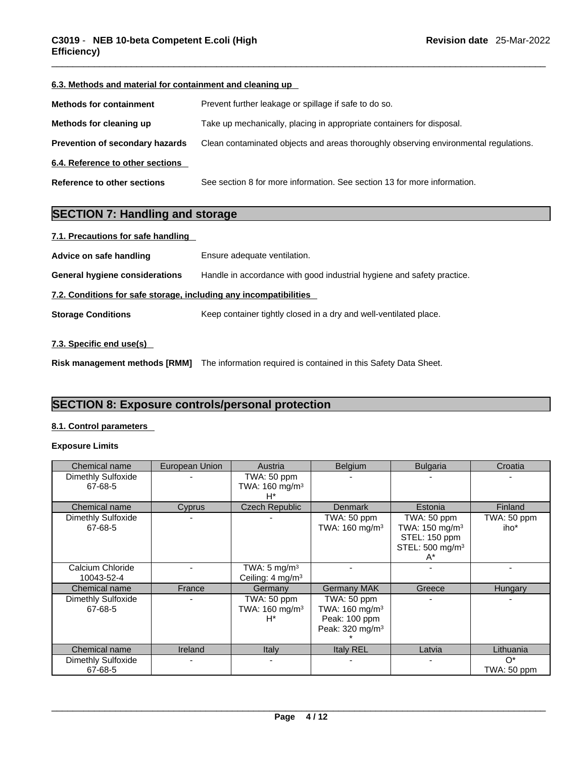| 6.3. Methods and material for containment and cleaning up |                                                                                      |
|-----------------------------------------------------------|--------------------------------------------------------------------------------------|
| <b>Methods for containment</b>                            | Prevent further leakage or spillage if safe to do so.                                |
| Methods for cleaning up                                   | Take up mechanically, placing in appropriate containers for disposal.                |
| <b>Prevention of secondary hazards</b>                    | Clean contaminated objects and areas thoroughly observing environmental regulations. |
| 6.4. Reference to other sections                          |                                                                                      |
| Reference to other sections                               | See section 8 for more information. See section 13 for more information.             |

## **SECTION 7: Handling and storage**

| 7.1. Precautions for safe handling                                |                                                                        |
|-------------------------------------------------------------------|------------------------------------------------------------------------|
| Advice on safe handling                                           | Ensure adequate ventilation.                                           |
| <b>General hygiene considerations</b>                             | Handle in accordance with good industrial hygiene and safety practice. |
| 7.2. Conditions for safe storage, including any incompatibilities |                                                                        |
| <b>Storage Conditions</b>                                         | Keep container tightly closed in a dry and well-ventilated place.      |
| 7.3. Specific end use(s)                                          |                                                                        |

**Risk management methods [RMM]** The information required is contained in this Safety Data Sheet.

## **SECTION 8: Exposure controls/personal protection**

### **8.1. Control parameters**

### **Exposure Limits**

| Chemical name                  | European Union | Austria                                                 | <b>Belgium</b>                                                                            | <b>Bulgaria</b>                                                                                 | Croatia              |
|--------------------------------|----------------|---------------------------------------------------------|-------------------------------------------------------------------------------------------|-------------------------------------------------------------------------------------------------|----------------------|
| Dimethly Sulfoxide<br>67-68-5  |                | TWA: 50 ppm<br>TWA: 160 mg/m <sup>3</sup><br>$H^*$      |                                                                                           |                                                                                                 |                      |
| Chemical name                  | Cyprus         | <b>Czech Republic</b>                                   | <b>Denmark</b>                                                                            | Estonia                                                                                         | <b>Finland</b>       |
| Dimethly Sulfoxide<br>67-68-5  |                |                                                         | TWA: 50 ppm<br>TWA: 160 mg/m <sup>3</sup>                                                 | TWA: 50 ppm<br>TWA: 150 mg/m <sup>3</sup><br>STEL: 150 ppm<br>STEL: 500 mg/m <sup>3</sup><br>A* | TWA: 50 ppm<br>iho*  |
| Calcium Chloride<br>10043-52-4 |                | TWA: $5 \text{ mg/m}^3$<br>Ceiling: 4 mg/m <sup>3</sup> |                                                                                           |                                                                                                 |                      |
| Chemical name                  | France         | Germany                                                 | <b>Germany MAK</b>                                                                        | Greece                                                                                          | Hungary              |
| Dimethly Sulfoxide<br>67-68-5  |                | TWA: 50 ppm<br>TWA: 160 mg/m <sup>3</sup><br>$H^*$      | TWA: 50 ppm<br>TWA: 160 mg/m <sup>3</sup><br>Peak: 100 ppm<br>Peak: 320 mg/m <sup>3</sup> |                                                                                                 |                      |
| Chemical name                  | Ireland        | <b>Italy</b>                                            | <b>Italy REL</b>                                                                          | Latvia                                                                                          | Lithuania            |
| Dimethly Sulfoxide<br>67-68-5  |                | $\blacksquare$                                          |                                                                                           |                                                                                                 | $O^*$<br>TWA: 50 ppm |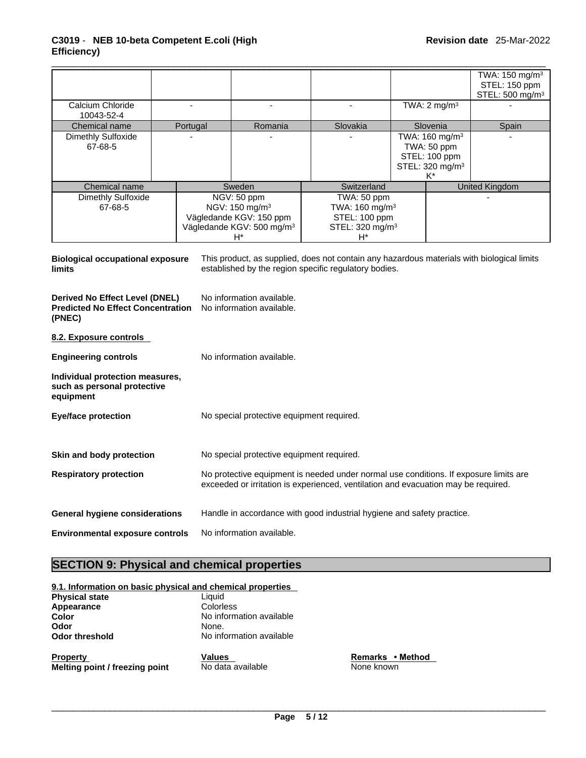|                               |          |                                                                                                                     |          |                                                                                           |                                                                                          | TWA: $150 \text{ mg/m}^3$<br>STEL: 150 ppm |
|-------------------------------|----------|---------------------------------------------------------------------------------------------------------------------|----------|-------------------------------------------------------------------------------------------|------------------------------------------------------------------------------------------|--------------------------------------------|
| Calcium Chloride              |          |                                                                                                                     |          |                                                                                           | TWA: $2 \text{ mg/m}^3$                                                                  | STEL: 500 mg/m <sup>3</sup>                |
| 10043-52-4<br>Chemical name   | Portugal | Romania                                                                                                             | Slovakia |                                                                                           | Slovenia                                                                                 | Spain                                      |
| Dimethly Sulfoxide<br>67-68-5 |          |                                                                                                                     |          |                                                                                           | TWA: $160 \text{ mg/m}^3$<br>TWA: 50 ppm<br>STEL: 100 ppm<br>STEL: 320 mg/m <sup>3</sup> |                                            |
| Chemical name                 |          | Sweden                                                                                                              |          | Switzerland                                                                               |                                                                                          | United Kingdom                             |
| Dimethly Sulfoxide<br>67-68-5 |          | NGV: 50 ppm<br>NGV: 150 mg/m <sup>3</sup><br>Vägledande KGV: 150 ppm<br>Vägledande KGV: 500 mg/m <sup>3</sup><br>H* |          | TWA: 50 ppm<br>TWA: 160 mg/m <sup>3</sup><br>STEL: 100 ppm<br>STEL: 320 mg/m <sup>3</sup> |                                                                                          |                                            |

| <b>Biological occupational exposure</b><br>limits                                    | This product, as supplied, does not contain any hazardous materials with biological limits<br>established by the region specific regulatory bodies.                         |
|--------------------------------------------------------------------------------------|-----------------------------------------------------------------------------------------------------------------------------------------------------------------------------|
| Derived No Effect Level (DNEL)<br><b>Predicted No Effect Concentration</b><br>(PNEC) | No information available.<br>No information available.                                                                                                                      |
| 8.2. Exposure controls                                                               |                                                                                                                                                                             |
| <b>Engineering controls</b>                                                          | No information available.                                                                                                                                                   |
| Individual protection measures,<br>such as personal protective<br>equipment          |                                                                                                                                                                             |
| <b>Eye/face protection</b>                                                           | No special protective equipment required.                                                                                                                                   |
| Skin and body protection                                                             | No special protective equipment required.                                                                                                                                   |
| <b>Respiratory protection</b>                                                        | No protective equipment is needed under normal use conditions. If exposure limits are<br>exceeded or irritation is experienced, ventilation and evacuation may be required. |
| General hygiene considerations                                                       | Handle in accordance with good industrial hygiene and safety practice.                                                                                                      |
| <b>Environmental exposure controls</b>                                               | No information available.                                                                                                                                                   |
|                                                                                      |                                                                                                                                                                             |

## **SECTION 9: Physical and chemical properties**

| Appearance            | Colorless                |  |
|-----------------------|--------------------------|--|
| Color                 | No information available |  |
| Odor                  | None.                    |  |
| <b>Odor threshold</b> | No information available |  |

**Property**<br> **Remarks** • **Method**<br> **Melting point / freezing point**<br> **Note known**<br> **Remarks** • **Method**<br> **None known Melting point / freezing point**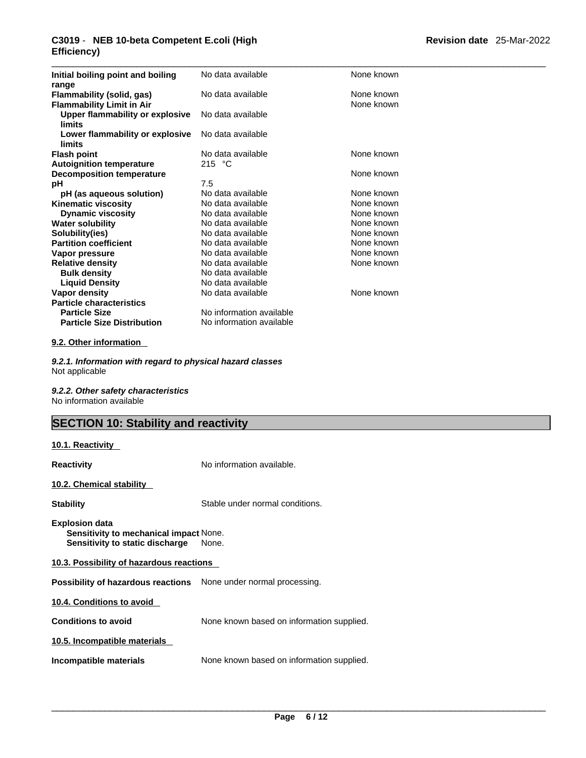### \_\_\_\_\_\_\_\_\_\_\_\_\_\_\_\_\_\_\_\_\_\_\_\_\_\_\_\_\_\_\_\_\_\_\_\_\_\_\_\_\_\_\_\_\_\_\_\_\_\_\_\_\_\_\_\_\_\_\_\_\_\_\_\_\_\_\_\_\_\_\_\_\_\_\_\_\_\_\_\_\_\_\_\_\_\_\_\_\_\_\_\_\_ **C3019** - **NEB 10-beta Competent E.coli (High Efficiency)**

| Initial boiling point and boiling<br>range                    | No data available        | None known               |
|---------------------------------------------------------------|--------------------------|--------------------------|
| Flammability (solid, gas)<br><b>Flammability Limit in Air</b> | No data available        | None known<br>None known |
| <b>Upper flammability or explosive</b><br>limits              | No data available        |                          |
| Lower flammability or explosive<br>limits                     | No data available        |                          |
| <b>Flash point</b>                                            | No data available        | None known               |
| <b>Autoignition temperature</b>                               | 215 $\degree$ C          |                          |
| <b>Decomposition temperature</b>                              |                          | None known               |
| рH                                                            | 7.5                      |                          |
| pH (as aqueous solution)                                      | No data available        | None known               |
| <b>Kinematic viscosity</b>                                    | No data available        | None known               |
| <b>Dynamic viscosity</b>                                      | No data available        | None known               |
| <b>Water solubility</b>                                       | No data available        | None known               |
| Solubility(ies)                                               | No data available        | None known               |
| <b>Partition coefficient</b>                                  | No data available        | None known               |
| Vapor pressure                                                | No data available        | None known               |
| <b>Relative density</b>                                       | No data available        | None known               |
| <b>Bulk density</b>                                           | No data available        |                          |
| <b>Liquid Density</b>                                         | No data available        |                          |
| Vapor density                                                 | No data available        | None known               |
| <b>Particle characteristics</b>                               |                          |                          |
| <b>Particle Size</b>                                          | No information available |                          |
| <b>Particle Size Distribution</b>                             | No information available |                          |

### **9.2. Other information**

*9.2.1. Information with regard to physical hazard classes* Not applicable

*9.2.2. Other safety characteristics* No information available

## **SECTION 10: Stability and reactivity**

| <u>10.1. Reactivity</u>                                                                            |                                           |  |  |
|----------------------------------------------------------------------------------------------------|-------------------------------------------|--|--|
| Reactivity                                                                                         | No information available.                 |  |  |
| 10.2. Chemical stability                                                                           |                                           |  |  |
| Stability                                                                                          | Stable under normal conditions.           |  |  |
| <b>Explosion data</b><br>Sensitivity to mechanical impact None.<br>Sensitivity to static discharge | None.                                     |  |  |
| 10.3. Possibility of hazardous reactions                                                           |                                           |  |  |
| Possibility of hazardous reactions None under normal processing.                                   |                                           |  |  |
| 10.4. Conditions to avoid                                                                          |                                           |  |  |
| <b>Conditions to avoid</b>                                                                         | None known based on information supplied. |  |  |
| 10.5. Incompatible materials                                                                       |                                           |  |  |
| Incompatible materials                                                                             | None known based on information supplied. |  |  |
|                                                                                                    |                                           |  |  |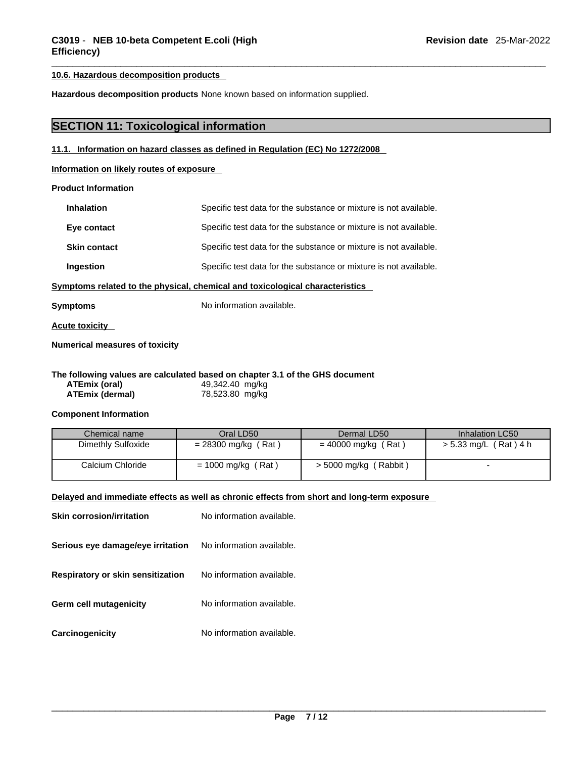### **10.6. Hazardous decomposition products**

**Hazardous decomposition products** None known based on information supplied.

## **SECTION 11: Toxicological information**

### **11.1. Information on hazard classes as defined in Regulation (EC) No 1272/2008**

**Information on likely routes of exposure**

### **Product Information**

| <b>Inhalation</b>   | Specific test data for the substance or mixture is not available. |
|---------------------|-------------------------------------------------------------------|
| Eye contact         | Specific test data for the substance or mixture is not available. |
| <b>Skin contact</b> | Specific test data for the substance or mixture is not available. |
| Ingestion           | Specific test data for the substance or mixture is not available. |

**Symptoms related to the physical, chemical and toxicological characteristics** 

**Symptoms** No information available.

**Acute toxicity** 

### **Numerical measures of toxicity**

### **The following values are calculated based on chapter 3.1 of the GHS document**

| ATEmix (oral)          | 49,342.40 mg/kg |
|------------------------|-----------------|
| <b>ATEmix (dermal)</b> | 78,523.80 mg/kg |

### **Component Information**

| Chemical name      | Oral LD50             | Dermal LD50           | Inhalation LC50       |
|--------------------|-----------------------|-----------------------|-----------------------|
| Dimethly Sulfoxide | $= 28300$ mg/kg (Rat) | $= 40000$ mg/kg (Rat) | > 5.33 mg/L (Rat) 4 h |
| Calcium Chloride   | $= 1000$ mg/kg (Rat)  | > 5000 mg/kg (Rabbit) |                       |

### **Delayed and immediate effects as well as chronic effects from short and long-term exposure**

| <b>Skin corrosion/irritation</b>  | No information available. |
|-----------------------------------|---------------------------|
| Serious eye damage/eye irritation | No information available. |
| Respiratory or skin sensitization | No information available. |
| Germ cell mutagenicity            | No information available. |
| Carcinogenicity                   | No information available. |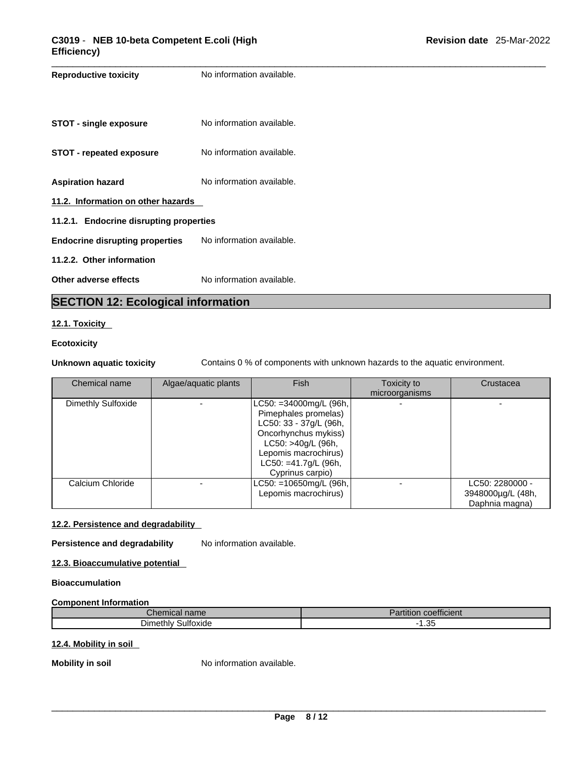| <b>Reproductive toxicity</b>            | No information available. |  |
|-----------------------------------------|---------------------------|--|
| STOT - single exposure                  | No information available. |  |
| <b>STOT - repeated exposure</b>         | No information available. |  |
| <b>Aspiration hazard</b>                | No information available. |  |
| 11.2. Information on other hazards      |                           |  |
| 11.2.1. Endocrine disrupting properties |                           |  |
| <b>Endocrine disrupting properties</b>  | No information available. |  |
| 11.2.2. Other information               |                           |  |
| Other adverse effects                   | No information available. |  |

## **SECTION 12: Ecological information**

### **12.1. Toxicity**

### **Ecotoxicity**

**Unknown aquatic toxicity** Contains 0 % of components with unknown hazards to the aquatic environment.

| Chemical name      | Algae/aquatic plants | Fish                                                                                                                                                                                          | Toxicity to<br>microorganisms | Crustacea                                              |  |
|--------------------|----------------------|-----------------------------------------------------------------------------------------------------------------------------------------------------------------------------------------------|-------------------------------|--------------------------------------------------------|--|
| Dimethly Sulfoxide |                      | $LC50: = 34000mg/L (96h,$<br>Pimephales promelas)<br>LC50: 33 - 37g/L (96h,<br>Oncorhynchus mykiss)<br>LC50: >40g/L (96h,<br>Lepomis macrochirus)<br>LC50: =41.7g/L (96h,<br>Cyprinus carpio) |                               |                                                        |  |
| Calcium Chloride   |                      | $LC50: = 10650$ mg/L (96h,<br>Lepomis macrochirus)                                                                                                                                            |                               | LC50: 2280000 -<br>3948000µg/L (48h,<br>Daphnia magna) |  |

### **12.2. Persistence and degradability**

**Persistence and degradability** No information available.

**12.3. Bioaccumulative potential**

### **Bioaccumulation**

### **Component Information**

| <i>C</i> hemical name∕   | $\overline{\phantom{a}}$<br>$\cdots$<br>coefficient<br>artıtıor |
|--------------------------|-----------------------------------------------------------------|
| $D$ imethly<br>Sultoxide | $\Omega$<br>. .<br>ںں. ،                                        |

### **12.4. Mobility in soil**

**Mobility in soil** No information available.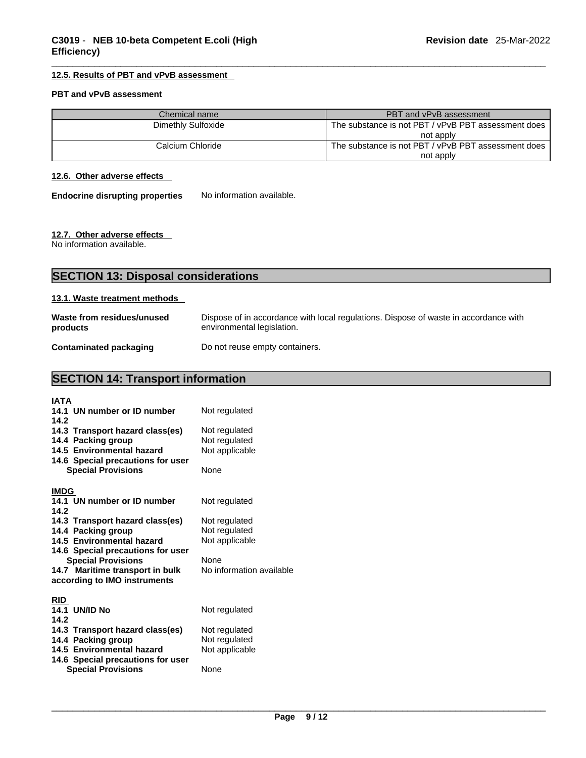### **12.5. Results of PBT and vPvB assessment**

### **PBT and vPvB assessment**

| Chemical name      | <b>PBT and vPvB assessment</b>                      |
|--------------------|-----------------------------------------------------|
| Dimethly Sulfoxide | The substance is not PBT / vPvB PBT assessment does |
|                    | not apply                                           |
| Calcium Chloride   | The substance is not PBT / vPvB PBT assessment does |
|                    | not apply                                           |

### **12.6. Other adverse effects**

**Endocrine disrupting properties** No information available.

### **12.7. Other adverse effects**

No information available.

| <b>SECTION 13: Disposal considerations</b> |                                                                                                                    |  |
|--------------------------------------------|--------------------------------------------------------------------------------------------------------------------|--|
| 13.1. Waste treatment methods              |                                                                                                                    |  |
| Waste from residues/unused<br>products     | Dispose of in accordance with local regulations. Dispose of waste in accordance with<br>environmental legislation. |  |

**Contaminated packaging** Do not reuse empty containers.

## **SECTION 14: Transport information**

| IATA                                                  |                          |
|-------------------------------------------------------|--------------------------|
| 14.1 UN number or ID number                           | Not regulated            |
| 14.2                                                  |                          |
| 14.3 Transport hazard class(es)                       | Not regulated            |
| 14.4 Packing group                                    | Not regulated            |
| 14.5 Environmental hazard                             | Not applicable           |
| 14.6 Special precautions for user                     |                          |
| <b>Special Provisions</b>                             | <b>None</b>              |
| <b>IMDG</b>                                           |                          |
| 14.1 UN number or ID number                           | Not regulated            |
| 14.2                                                  |                          |
| 14.3 Transport hazard class(es)                       | Not regulated            |
| 14.4 Packing group                                    | Not regulated            |
| 14.5 Environmental hazard                             | Not applicable           |
| 14.6 Special precautions for user                     |                          |
| <b>Special Provisions</b>                             | <b>None</b>              |
| 14.7 Maritime transport in bulk                       | No information available |
| according to IMO instruments                          |                          |
|                                                       |                          |
| <b>RID</b>                                            |                          |
| <b>14.1 UN/ID No</b><br>14.2                          | Not regulated            |
|                                                       | Not regulated            |
| 14.3 Transport hazard class(es)<br>14.4 Packing group | Not regulated            |
| 14.5 Environmental hazard                             | Not applicable           |
| 14.6 Special precautions for user                     |                          |
| <b>Special Provisions</b>                             | None                     |
|                                                       |                          |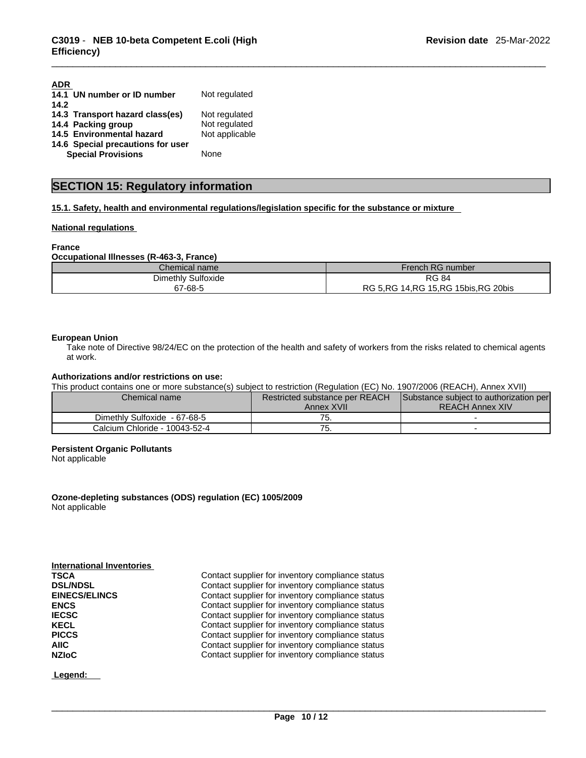| <b>ADR</b>                        |                |
|-----------------------------------|----------------|
| 14.1 UN number or ID number       | Not regulated  |
| 14.2                              |                |
| 14.3 Transport hazard class(es)   | Not regulated  |
| 14.4 Packing group                | Not regulated  |
| 14.5 Environmental hazard         | Not applicable |
| 14.6 Special precautions for user |                |
| <b>Special Provisions</b>         | None           |

## **SECTION 15: Regulatory information**

**15.1. Safety, health and environmental regulations/legislation specific for the substance or mixture**

### **National regulations**

### **France**

### **Occupational Illnesses (R-463-3, France)**

| Chemical name           | French RG number                                |
|-------------------------|-------------------------------------------------|
| v Sulfoxide<br>Dimethly | <b>RG 84</b>                                    |
| 67-68-5                 | i 15.RG 15bis.RG 20bis<br>5.RG<br>14.RG<br>RG 5 |

### **European Union**

Take note of Directive 98/24/EC on the protection of the health and safety of workers from the risks related to chemical agents at work.

### **Authorizations and/or restrictions on use:**

This product contains one or more substance(s) subject to restriction (Regulation (EC) No. 1907/2006 (REACH), Annex XVII)

| Chemical name                 | <b>Restricted substance per REACH</b> | Substance subject to authorization per |  |
|-------------------------------|---------------------------------------|----------------------------------------|--|
|                               | Annex XVII                            | <b>REACH Annex XIV</b>                 |  |
| Dimethly Sulfoxide - 67-68-5  | ، ب                                   |                                        |  |
| Calcium Chloride - 10043-52-4 | . ن                                   |                                        |  |

### **Persistent Organic Pollutants**

Not applicable

**Ozone-depleting substances (ODS) regulation (EC) 1005/2009** Not applicable

### **International Inventories**

| <b>TSCA</b>          | Contact supplier for inventory compliance status |
|----------------------|--------------------------------------------------|
| <b>DSL/NDSL</b>      | Contact supplier for inventory compliance status |
| <b>EINECS/ELINCS</b> | Contact supplier for inventory compliance status |
| <b>ENCS</b>          | Contact supplier for inventory compliance status |
| <b>IECSC</b>         | Contact supplier for inventory compliance status |
| <b>KECL</b>          | Contact supplier for inventory compliance status |
| <b>PICCS</b>         | Contact supplier for inventory compliance status |
| <b>AIIC</b>          | Contact supplier for inventory compliance status |
| <b>NZIoC</b>         | Contact supplier for inventory compliance status |

 **Legend:**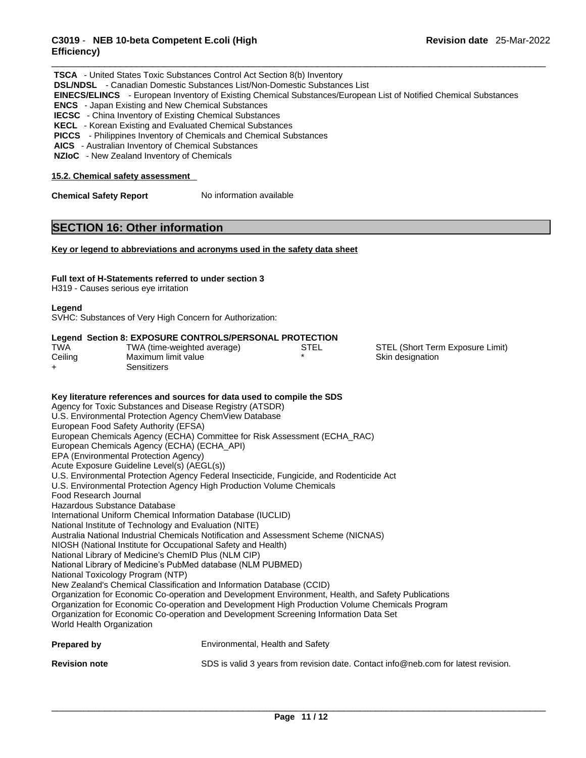### \_\_\_\_\_\_\_\_\_\_\_\_\_\_\_\_\_\_\_\_\_\_\_\_\_\_\_\_\_\_\_\_\_\_\_\_\_\_\_\_\_\_\_\_\_\_\_\_\_\_\_\_\_\_\_\_\_\_\_\_\_\_\_\_\_\_\_\_\_\_\_\_\_\_\_\_\_\_\_\_\_\_\_\_\_\_\_\_\_\_\_\_\_ **C3019** - **NEB 10-beta Competent E.coli (High Efficiency)**

|                                                                                                                         | <b>TSCA</b> - United States Toxic Substances Control Act Section 8(b) Inventory<br><b>DSL/NDSL</b> - Canadian Domestic Substances List/Non-Domestic Substances List<br>EINECS/ELINCS - European Inventory of Existing Chemical Substances/European List of Notified Chemical Substances<br><b>ENCS</b> - Japan Existing and New Chemical Substances<br><b>IECSC</b> - China Inventory of Existing Chemical Substances<br>KECL - Korean Existing and Evaluated Chemical Substances<br>PICCS - Philippines Inventory of Chemicals and Chemical Substances<br>AICS - Australian Inventory of Chemical Substances<br>NZIoC - New Zealand Inventory of Chemicals                                                                                                                                                                                                                                                                                                                                                                                                                                                                                                                                                                                                                                                                                                                                                         |
|-------------------------------------------------------------------------------------------------------------------------|---------------------------------------------------------------------------------------------------------------------------------------------------------------------------------------------------------------------------------------------------------------------------------------------------------------------------------------------------------------------------------------------------------------------------------------------------------------------------------------------------------------------------------------------------------------------------------------------------------------------------------------------------------------------------------------------------------------------------------------------------------------------------------------------------------------------------------------------------------------------------------------------------------------------------------------------------------------------------------------------------------------------------------------------------------------------------------------------------------------------------------------------------------------------------------------------------------------------------------------------------------------------------------------------------------------------------------------------------------------------------------------------------------------------|
| 15.2. Chemical safety assessment                                                                                        |                                                                                                                                                                                                                                                                                                                                                                                                                                                                                                                                                                                                                                                                                                                                                                                                                                                                                                                                                                                                                                                                                                                                                                                                                                                                                                                                                                                                                     |
| <b>Chemical Safety Report</b>                                                                                           | No information available                                                                                                                                                                                                                                                                                                                                                                                                                                                                                                                                                                                                                                                                                                                                                                                                                                                                                                                                                                                                                                                                                                                                                                                                                                                                                                                                                                                            |
|                                                                                                                         | <b>SECTION 16: Other information</b>                                                                                                                                                                                                                                                                                                                                                                                                                                                                                                                                                                                                                                                                                                                                                                                                                                                                                                                                                                                                                                                                                                                                                                                                                                                                                                                                                                                |
|                                                                                                                         | Key or legend to abbreviations and acronyms used in the safety data sheet                                                                                                                                                                                                                                                                                                                                                                                                                                                                                                                                                                                                                                                                                                                                                                                                                                                                                                                                                                                                                                                                                                                                                                                                                                                                                                                                           |
| H319 - Causes serious eye irritation                                                                                    | Full text of H-Statements referred to under section 3                                                                                                                                                                                                                                                                                                                                                                                                                                                                                                                                                                                                                                                                                                                                                                                                                                                                                                                                                                                                                                                                                                                                                                                                                                                                                                                                                               |
| Legend                                                                                                                  | SVHC: Substances of Very High Concern for Authorization:                                                                                                                                                                                                                                                                                                                                                                                                                                                                                                                                                                                                                                                                                                                                                                                                                                                                                                                                                                                                                                                                                                                                                                                                                                                                                                                                                            |
| TWA<br>Ceiling<br>+                                                                                                     | Legend Section 8: EXPOSURE CONTROLS/PERSONAL PROTECTION<br>TWA (time-weighted average)<br><b>STEL</b><br>STEL (Short Term Exposure Limit)<br>Maximum limit value<br>Skin designation<br>Sensitizers                                                                                                                                                                                                                                                                                                                                                                                                                                                                                                                                                                                                                                                                                                                                                                                                                                                                                                                                                                                                                                                                                                                                                                                                                 |
| Food Research Journal<br>Hazardous Substance Database<br>National Toxicology Program (NTP)<br>World Health Organization | Key literature references and sources for data used to compile the SDS<br>Agency for Toxic Substances and Disease Registry (ATSDR)<br>U.S. Environmental Protection Agency ChemView Database<br>European Food Safety Authority (EFSA)<br>European Chemicals Agency (ECHA) Committee for Risk Assessment (ECHA_RAC)<br>European Chemicals Agency (ECHA) (ECHA_API)<br>EPA (Environmental Protection Agency)<br>Acute Exposure Guideline Level(s) (AEGL(s))<br>U.S. Environmental Protection Agency Federal Insecticide, Fungicide, and Rodenticide Act<br>U.S. Environmental Protection Agency High Production Volume Chemicals<br>International Uniform Chemical Information Database (IUCLID)<br>National Institute of Technology and Evaluation (NITE)<br>Australia National Industrial Chemicals Notification and Assessment Scheme (NICNAS)<br>NIOSH (National Institute for Occupational Safety and Health)<br>National Library of Medicine's ChemID Plus (NLM CIP)<br>National Library of Medicine's PubMed database (NLM PUBMED)<br>New Zealand's Chemical Classification and Information Database (CCID)<br>Organization for Economic Co-operation and Development Environment, Health, and Safety Publications<br>Organization for Economic Co-operation and Development High Production Volume Chemicals Program<br>Organization for Economic Co-operation and Development Screening Information Data Set |
| <b>Prepared by</b>                                                                                                      | Environmental, Health and Safety                                                                                                                                                                                                                                                                                                                                                                                                                                                                                                                                                                                                                                                                                                                                                                                                                                                                                                                                                                                                                                                                                                                                                                                                                                                                                                                                                                                    |
| <b>Revision note</b>                                                                                                    | SDS is valid 3 years from revision date. Contact info@neb.com for latest revision.                                                                                                                                                                                                                                                                                                                                                                                                                                                                                                                                                                                                                                                                                                                                                                                                                                                                                                                                                                                                                                                                                                                                                                                                                                                                                                                                  |
|                                                                                                                         |                                                                                                                                                                                                                                                                                                                                                                                                                                                                                                                                                                                                                                                                                                                                                                                                                                                                                                                                                                                                                                                                                                                                                                                                                                                                                                                                                                                                                     |